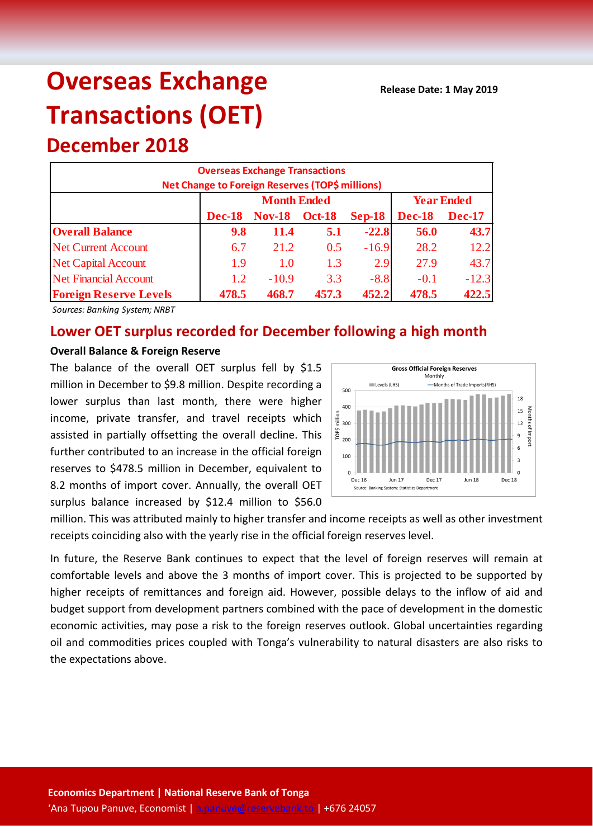# **Overseas Exchange Transactions (OET) December 2018**

| <b>Overseas Exchange Transactions</b><br>Net Change to Foreign Reserves (TOP\$ millions) |               |                    |               |                   |               |               |  |
|------------------------------------------------------------------------------------------|---------------|--------------------|---------------|-------------------|---------------|---------------|--|
|                                                                                          |               | <b>Month Ended</b> |               | <b>Year Ended</b> |               |               |  |
|                                                                                          | <b>Dec-18</b> | <b>Nov-18</b>      | <b>Oct-18</b> | $Sep-18$          | <b>Dec-18</b> | <b>Dec-17</b> |  |
| <b>Overall Balance</b>                                                                   | 9.8           | 11.4               | 5.1           | $-22.8$           | 56.0          | 43.7          |  |
| <b>Net Current Account</b>                                                               | 6.7           | 21.2               | 0.5           | $-16.9$           | 28.2          | 12.2          |  |
| <b>Net Capital Account</b>                                                               | 1.9           | 1.0                | 1.3           | 2.9               | 27.9          | 43.7          |  |
| <b>Net Financial Account</b>                                                             | 1.2           | $-10.9$            | 3.3           | $-8.8$            | $-0.1$        | $-12.3$       |  |
| <b>Foreign Reserve Levels</b>                                                            | 478.5         | 468.7              | 457.3         | 452.2             | 478.5         | 422.5         |  |

*Sources: Banking System; NRBT*

# **Lower OET surplus recorded for December following a high month**

# **Overall Balance & Foreign Reserve**

The balance of the overall OET surplus fell by \$1.5 million in December to \$9.8 million. Despite recording a lower surplus than last month, there were higher income, private transfer, and travel receipts which assisted in partially offsetting the overall decline. This further contributed to an increase in the official foreign reserves to \$478.5 million in December, equivalent to 8.2 months of import cover. Annually, the overall OET surplus balance increased by \$12.4 million to \$56.0



million. This was attributed mainly to higher transfer and income receipts as well as other investment receipts coinciding also with the yearly rise in the official foreign reserves level.

In future, the Reserve Bank continues to expect that the level of foreign reserves will remain at comfortable levels and above the 3 months of import cover. This is projected to be supported by higher receipts of remittances and foreign aid. However, possible delays to the inflow of aid and budget support from development partners combined with the pace of development in the domestic economic activities, may pose a risk to the foreign reserves outlook. Global uncertainties regarding oil and commodities prices coupled with Tonga's vulnerability to natural disasters are also risks to the expectations above.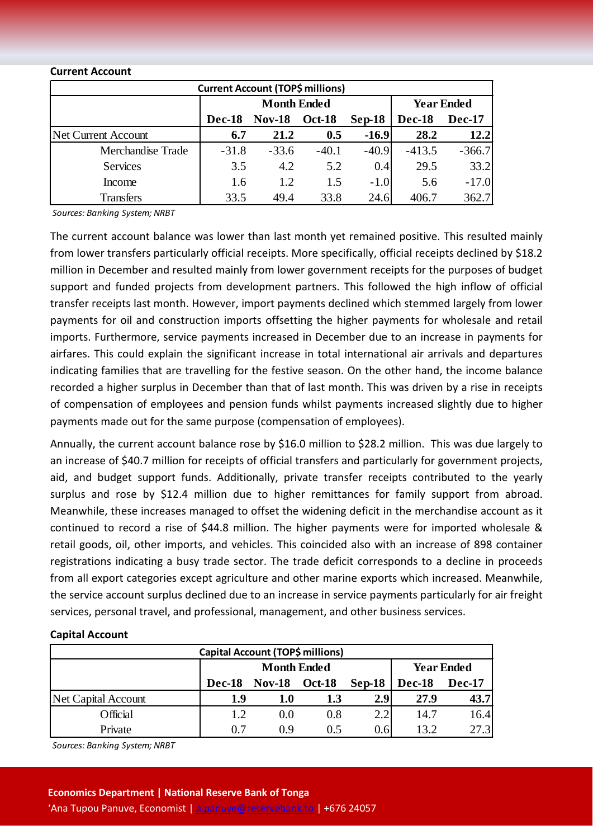| <b>Current Account (TOP\$ millions)</b> |                    |               |               |          |                   |               |  |
|-----------------------------------------|--------------------|---------------|---------------|----------|-------------------|---------------|--|
|                                         | <b>Month Ended</b> |               |               |          | <b>Year Ended</b> |               |  |
|                                         | <b>Dec-18</b>      | <b>Nov-18</b> | <b>Oct-18</b> | $Sep-18$ | <b>Dec-18</b>     | <b>Dec-17</b> |  |
| Net Current Account                     | 6.7                | 21.2          | 0.5           | $-16.9$  | 28.2              | 12.2          |  |
| Merchandise Trade                       | $-31.8$            | $-33.6$       | $-40.1$       | $-40.9$  | $-413.5$          | $-366.7$      |  |
| <b>Services</b>                         | 3.5                | 4.2           | 5.2           | 0.4      | 29.5              | 33.2          |  |
| Income                                  | 1.6                | 1.2           | 1.5           | $-1.0$   | 5.6               | $-17.0$       |  |
| <b>Transfers</b>                        | 33.5               | 49.4          | 33.8          | 24.6     | 406.7             | 362.7         |  |

#### **Current Account**

*Sources: Banking System; NRBT*

The current account balance was lower than last month yet remained positive. This resulted mainly from lower transfers particularly official receipts. More specifically, official receipts declined by \$18.2 million in December and resulted mainly from lower government receipts for the purposes of budget support and funded projects from development partners. This followed the high inflow of official transfer receipts last month. However, import payments declined which stemmed largely from lower payments for oil and construction imports offsetting the higher payments for wholesale and retail imports. Furthermore, service payments increased in December due to an increase in payments for airfares. This could explain the significant increase in total international air arrivals and departures indicating families that are travelling for the festive season. On the other hand, the income balance recorded a higher surplus in December than that of last month. This was driven by a rise in receipts of compensation of employees and pension funds whilst payments increased slightly due to higher payments made out for the same purpose (compensation of employees).

Annually, the current account balance rose by \$16.0 million to \$28.2 million. This was due largely to an increase of \$40.7 million for receipts of official transfers and particularly for government projects, aid, and budget support funds. Additionally, private transfer receipts contributed to the yearly surplus and rose by \$12.4 million due to higher remittances for family support from abroad. Meanwhile, these increases managed to offset the widening deficit in the merchandise account as it continued to record a rise of \$44.8 million. The higher payments were for imported wholesale & retail goods, oil, other imports, and vehicles. This coincided also with an increase of 898 container registrations indicating a busy trade sector. The trade deficit corresponds to a decline in proceeds from all export categories except agriculture and other marine exports which increased. Meanwhile, the service account surplus declined due to an increase in service payments particularly for air freight services, personal travel, and professional, management, and other business services.

## **Capital Account**

| Capital Account (TOP\$ millions) |                                                      |     |     |      |                   |               |
|----------------------------------|------------------------------------------------------|-----|-----|------|-------------------|---------------|
|                                  | <b>Month Ended</b>                                   |     |     |      | <b>Year Ended</b> |               |
|                                  | $Sep-18$<br><b>Oct-18</b><br><b>Nov-18</b><br>Dec-18 |     |     |      | <b>Dec-18</b>     | <b>Dec-17</b> |
| Net Capital Account              | 1.9                                                  | 1.0 | 1.3 | 2.9  | 27.9              | 43.7          |
| Official                         | 1.2                                                  | 0.0 | 0.8 | 2.2  | 14.7              | 16.4          |
| Private                          | 0 7                                                  | 0.9 | 0.5 | 0.61 | 13.2              | 27.3          |

*Sources: Banking System; NRBT*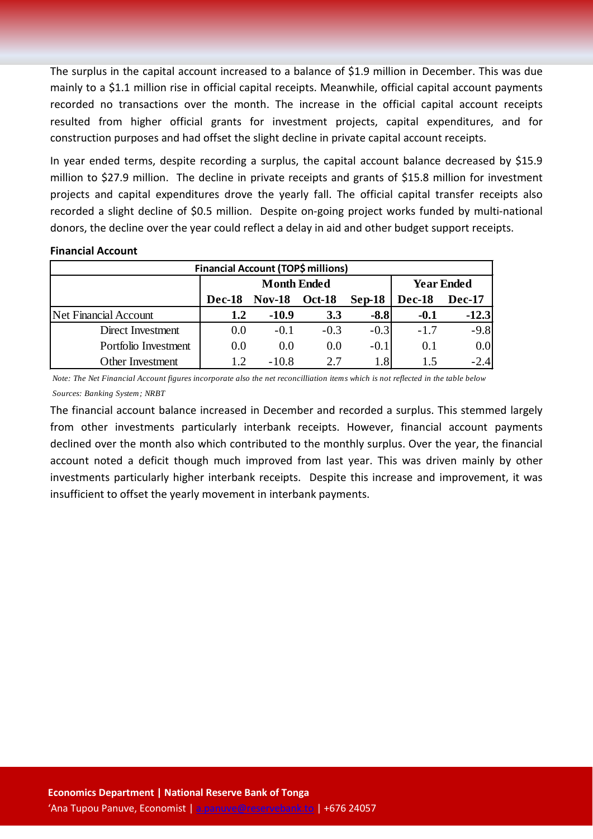The surplus in the capital account increased to a balance of \$1.9 million in December. This was due mainly to a \$1.1 million rise in official capital receipts. Meanwhile, official capital account payments recorded no transactions over the month. The increase in the official capital account receipts resulted from higher official grants for investment projects, capital expenditures, and for construction purposes and had offset the slight decline in private capital account receipts.

In year ended terms, despite recording a surplus, the capital account balance decreased by \$15.9 million to \$27.9 million. The decline in private receipts and grants of \$15.8 million for investment projects and capital expenditures drove the yearly fall. The official capital transfer receipts also recorded a slight decline of \$0.5 million. Despite on-going project works funded by multi-national donors, the decline over the year could reflect a delay in aid and other budget support receipts.

## **Financial Account**

| <b>Financial Account (TOP\$ millions)</b> |        |                    |                   |          |        |         |  |
|-------------------------------------------|--------|--------------------|-------------------|----------|--------|---------|--|
|                                           |        | <b>Month Ended</b> | <b>Year Ended</b> |          |        |         |  |
|                                           | Dec-18 | <b>Nov-18</b>      | <b>Oct-18</b>     | $Sep-18$ | Dec-18 | Dec-17  |  |
| Net Financial Account                     | 1.2    | $-10.9$            | 3.3               | $-8.8$   | $-0.1$ | $-12.3$ |  |
| Direct Investment                         | 0.0    | $-0.1$             | $-0.3$            | $-0.3$   | $-1.7$ | $-9.8$  |  |
| Portfolio Investment                      | 0.0    | 0.0                | 0.0               | $-0.1$   | 0.1    | 0.0     |  |
| Other Investment                          | 1.2    | $-10.8$            | 2.7               | 1.8      |        | $-2.4$  |  |

*Note: The Net Financial Account figures incorporate also the net reconcilliation items which is not reflected in the table below Sources: Banking System; NRBT*

The financial account balance increased in December and recorded a surplus. This stemmed largely from other investments particularly interbank receipts. However, financial account payments declined over the month also which contributed to the monthly surplus. Over the year, the financial account noted a deficit though much improved from last year. This was driven mainly by other investments particularly higher interbank receipts. Despite this increase and improvement, it was insufficient to offset the yearly movement in interbank payments.